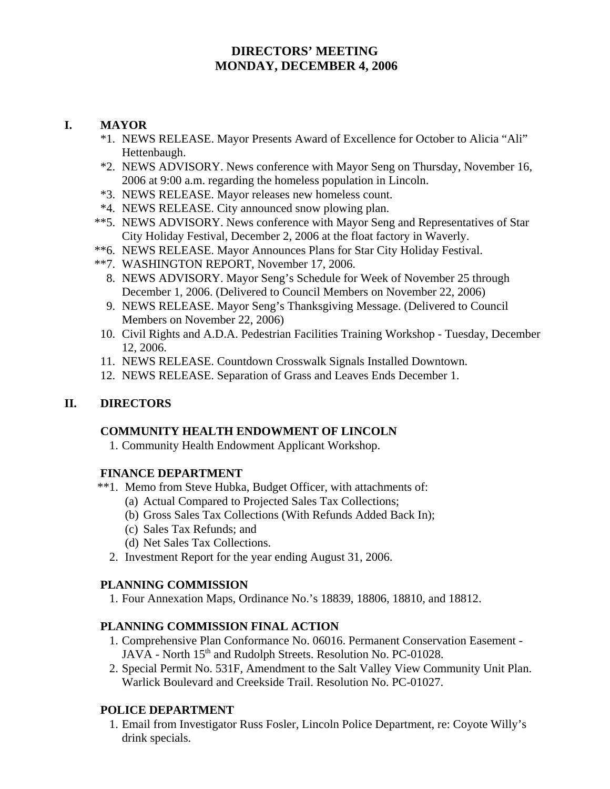# **DIRECTORS' MEETING MONDAY, DECEMBER 4, 2006**

## **I. MAYOR**

- \*1. NEWS RELEASE. Mayor Presents Award of Excellence for October to Alicia "Ali" Hettenbaugh.
- \*2. NEWS ADVISORY. News conference with Mayor Seng on Thursday, November 16, 2006 at 9:00 a.m. regarding the homeless population in Lincoln.
- \*3. NEWS RELEASE. Mayor releases new homeless count.
- \*4. NEWS RELEASE. City announced snow plowing plan.
- \*\*5. NEWS ADVISORY. News conference with Mayor Seng and Representatives of Star City Holiday Festival, December 2, 2006 at the float factory in Waverly.
- \*\*6. NEWS RELEASE. Mayor Announces Plans for Star City Holiday Festival.
- \*\*7. WASHINGTON REPORT, November 17, 2006.
	- 8. NEWS ADVISORY. Mayor Seng's Schedule for Week of November 25 through December 1, 2006. (Delivered to Council Members on November 22, 2006)
	- 9. NEWS RELEASE. Mayor Seng's Thanksgiving Message. (Delivered to Council Members on November 22, 2006)
	- 10. Civil Rights and A.D.A. Pedestrian Facilities Training Workshop Tuesday, December 12, 2006.
- 11. NEWS RELEASE. Countdown Crosswalk Signals Installed Downtown.
- 12. NEWS RELEASE. Separation of Grass and Leaves Ends December 1.

## **II. DIRECTORS**

### **COMMUNITY HEALTH ENDOWMENT OF LINCOLN**

1. Community Health Endowment Applicant Workshop.

## **FINANCE DEPARTMENT**

- \*\*1. Memo from Steve Hubka, Budget Officer, with attachments of:
	- (a) Actual Compared to Projected Sales Tax Collections;
	- (b) Gross Sales Tax Collections (With Refunds Added Back In);
	- (c) Sales Tax Refunds; and
	- (d) Net Sales Tax Collections.
	- 2. Investment Report for the year ending August 31, 2006.

## **PLANNING COMMISSION**

1. Four Annexation Maps, Ordinance No.'s 18839, 18806, 18810, and 18812.

## **PLANNING COMMISSION FINAL ACTION**

- 1. Comprehensive Plan Conformance No. 06016. Permanent Conservation Easement JAVA - North 15<sup>th</sup> and Rudolph Streets. Resolution No. PC-01028.
- 2. Special Permit No. 531F, Amendment to the Salt Valley View Community Unit Plan. Warlick Boulevard and Creekside Trail. Resolution No. PC-01027.

## **POLICE DEPARTMENT**

 1. Email from Investigator Russ Fosler, Lincoln Police Department, re: Coyote Willy's drink specials.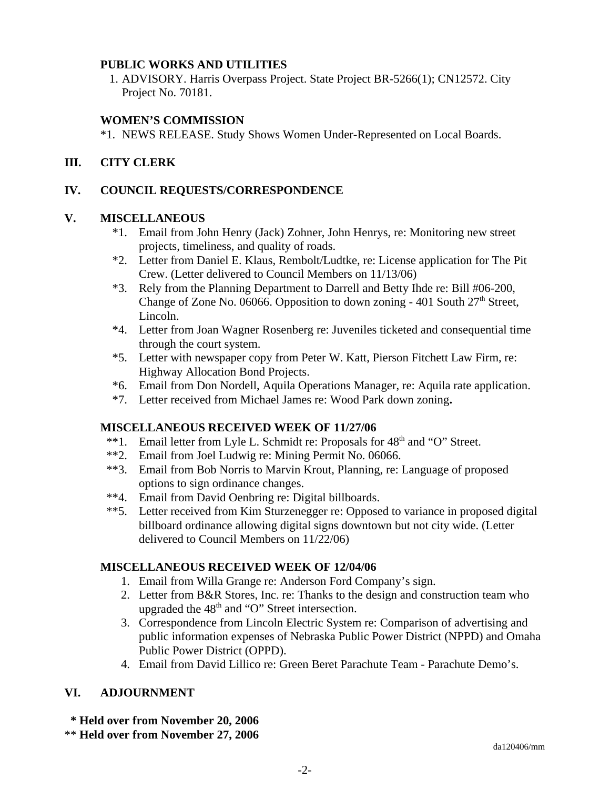### **PUBLIC WORKS AND UTILITIES**

 1. ADVISORY. Harris Overpass Project. State Project BR-5266(1); CN12572. City Project No. 70181.

## **WOMEN'S COMMISSION**

\*1. NEWS RELEASE. Study Shows Women Under-Represented on Local Boards.

## **III. CITY CLERK**

## **IV. COUNCIL REQUESTS/CORRESPONDENCE**

## **V. MISCELLANEOUS**

- \*1. Email from John Henry (Jack) Zohner, John Henrys, re: Monitoring new street projects, timeliness, and quality of roads.
- \*2. Letter from Daniel E. Klaus, Rembolt/Ludtke, re: License application for The Pit Crew. (Letter delivered to Council Members on 11/13/06)
- \*3. Rely from the Planning Department to Darrell and Betty Ihde re: Bill #06-200, Change of Zone No. 06066. Opposition to down zoning - 401 South  $27<sup>th</sup>$  Street, Lincoln.
- \*4. Letter from Joan Wagner Rosenberg re: Juveniles ticketed and consequential time through the court system.
- \*5. Letter with newspaper copy from Peter W. Katt, Pierson Fitchett Law Firm, re: Highway Allocation Bond Projects.
- \*6. Email from Don Nordell, Aquila Operations Manager, re: Aquila rate application.
- \*7. Letter received from Michael James re: Wood Park down zoning**.**

## **MISCELLANEOUS RECEIVED WEEK OF 11/27/06**

- \*\*1. Email letter from Lyle L. Schmidt re: Proposals for  $48<sup>th</sup>$  and "O" Street.
- \*\*2. Email from Joel Ludwig re: Mining Permit No. 06066.
- \*\*3. Email from Bob Norris to Marvin Krout, Planning, re: Language of proposed options to sign ordinance changes.
- \*\*4. Email from David Oenbring re: Digital billboards.
- \*\*5. Letter received from Kim Sturzenegger re: Opposed to variance in proposed digital billboard ordinance allowing digital signs downtown but not city wide. (Letter delivered to Council Members on 11/22/06)

## **MISCELLANEOUS RECEIVED WEEK OF 12/04/06**

- 1. Email from Willa Grange re: Anderson Ford Company's sign.
- 2. Letter from B&R Stores, Inc. re: Thanks to the design and construction team who upgraded the  $48<sup>th</sup>$  and "O" Street intersection.
- 3. Correspondence from Lincoln Electric System re: Comparison of advertising and public information expenses of Nebraska Public Power District (NPPD) and Omaha Public Power District (OPPD).
- 4. Email from David Lillico re: Green Beret Parachute Team Parachute Demo's.

## **VI. ADJOURNMENT**

 **\* Held over from November 20, 2006**

\*\* **Held over from November 27, 2006**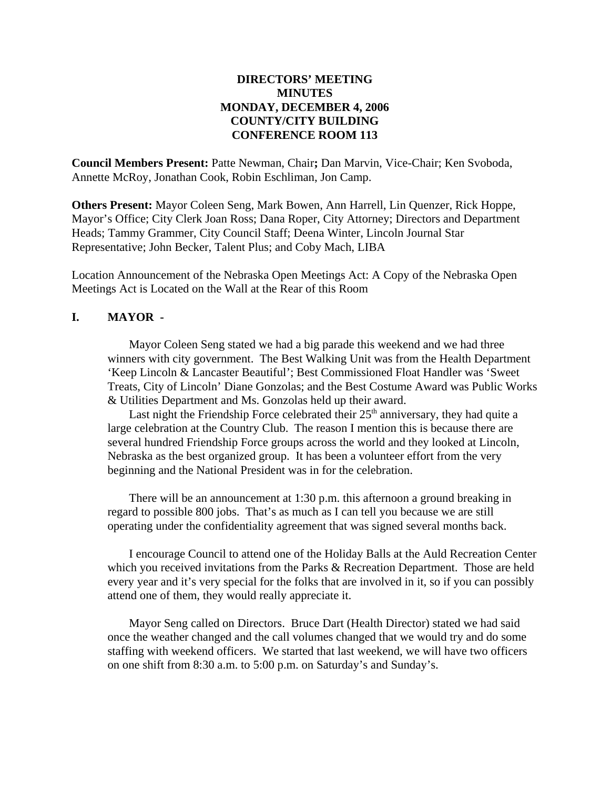## **DIRECTORS' MEETING MINUTES MONDAY, DECEMBER 4, 2006 COUNTY/CITY BUILDING CONFERENCE ROOM 113**

**Council Members Present:** Patte Newman, Chair**;** Dan Marvin, Vice-Chair; Ken Svoboda, Annette McRoy, Jonathan Cook, Robin Eschliman, Jon Camp.

**Others Present:** Mayor Coleen Seng, Mark Bowen, Ann Harrell, Lin Quenzer, Rick Hoppe, Mayor's Office; City Clerk Joan Ross; Dana Roper, City Attorney; Directors and Department Heads; Tammy Grammer, City Council Staff; Deena Winter, Lincoln Journal Star Representative; John Becker, Talent Plus; and Coby Mach, LIBA

Location Announcement of the Nebraska Open Meetings Act: A Copy of the Nebraska Open Meetings Act is Located on the Wall at the Rear of this Room

#### **I. MAYOR -**

Mayor Coleen Seng stated we had a big parade this weekend and we had three winners with city government. The Best Walking Unit was from the Health Department 'Keep Lincoln & Lancaster Beautiful'; Best Commissioned Float Handler was 'Sweet Treats, City of Lincoln' Diane Gonzolas; and the Best Costume Award was Public Works & Utilities Department and Ms. Gonzolas held up their award.

Last night the Friendship Force celebrated their  $25<sup>th</sup>$  anniversary, they had quite a large celebration at the Country Club. The reason I mention this is because there are several hundred Friendship Force groups across the world and they looked at Lincoln, Nebraska as the best organized group. It has been a volunteer effort from the very beginning and the National President was in for the celebration.

There will be an announcement at 1:30 p.m. this afternoon a ground breaking in regard to possible 800 jobs. That's as much as I can tell you because we are still operating under the confidentiality agreement that was signed several months back.

I encourage Council to attend one of the Holiday Balls at the Auld Recreation Center which you received invitations from the Parks & Recreation Department. Those are held every year and it's very special for the folks that are involved in it, so if you can possibly attend one of them, they would really appreciate it.

Mayor Seng called on Directors. Bruce Dart (Health Director) stated we had said once the weather changed and the call volumes changed that we would try and do some staffing with weekend officers. We started that last weekend, we will have two officers on one shift from 8:30 a.m. to 5:00 p.m. on Saturday's and Sunday's.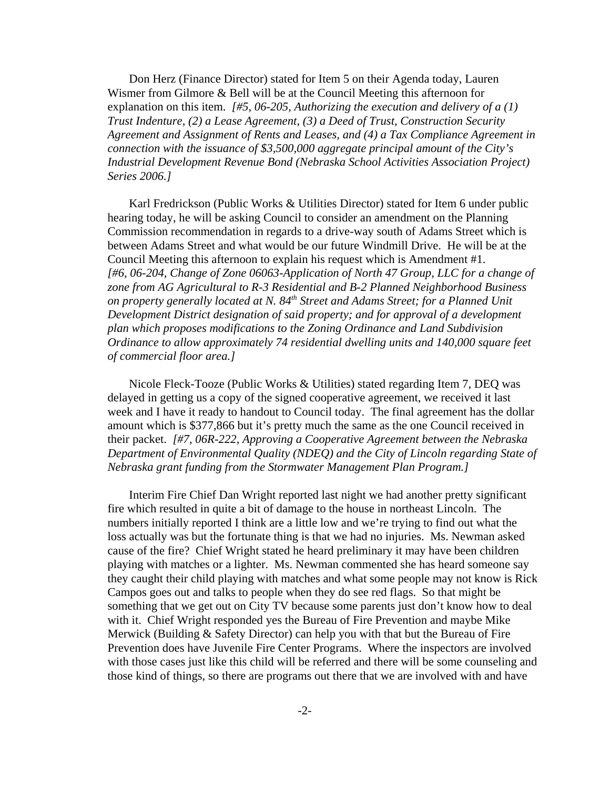Don Herz (Finance Director) stated for Item 5 on their Agenda today, Lauren Wismer from Gilmore & Bell will be at the Council Meeting this afternoon for explanation on this item. *[#5, 06-205, Authorizing the execution and delivery of a (1) Trust Indenture, (2) a Lease Agreement, (3) a Deed of Trust, Construction Security Agreement and Assignment of Rents and Leases, and (4) a Tax Compliance Agreement in connection with the issuance of \$3,500,000 aggregate principal amount of the City's Industrial Development Revenue Bond (Nebraska School Activities Association Project) Series 2006.]* 

Karl Fredrickson (Public Works & Utilities Director) stated for Item 6 under public hearing today, he will be asking Council to consider an amendment on the Planning Commission recommendation in regards to a drive-way south of Adams Street which is between Adams Street and what would be our future Windmill Drive. He will be at the Council Meeting this afternoon to explain his request which is Amendment #1. *[#6, 06-204, Change of Zone 06063-Application of North 47 Group, LLC for a change of zone from AG Agricultural to R-3 Residential and B-2 Planned Neighborhood Business on property generally located at N. 84th Street and Adams Street; for a Planned Unit Development District designation of said property; and for approval of a development plan which proposes modifications to the Zoning Ordinance and Land Subdivision Ordinance to allow approximately 74 residential dwelling units and 140,000 square feet of commercial floor area.]* 

Nicole Fleck-Tooze (Public Works & Utilities) stated regarding Item 7, DEQ was delayed in getting us a copy of the signed cooperative agreement, we received it last week and I have it ready to handout to Council today. The final agreement has the dollar amount which is \$377,866 but it's pretty much the same as the one Council received in their packet. *[#7, 06R-222, Approving a Cooperative Agreement between the Nebraska Department of Environmental Quality (NDEQ) and the City of Lincoln regarding State of Nebraska grant funding from the Stormwater Management Plan Program.]* 

Interim Fire Chief Dan Wright reported last night we had another pretty significant fire which resulted in quite a bit of damage to the house in northeast Lincoln. The numbers initially reported I think are a little low and we're trying to find out what the loss actually was but the fortunate thing is that we had no injuries. Ms. Newman asked cause of the fire? Chief Wright stated he heard preliminary it may have been children playing with matches or a lighter. Ms. Newman commented she has heard someone say they caught their child playing with matches and what some people may not know is Rick Campos goes out and talks to people when they do see red flags. So that might be something that we get out on City TV because some parents just don't know how to deal with it. Chief Wright responded yes the Bureau of Fire Prevention and maybe Mike Merwick (Building & Safety Director) can help you with that but the Bureau of Fire Prevention does have Juvenile Fire Center Programs. Where the inspectors are involved with those cases just like this child will be referred and there will be some counseling and those kind of things, so there are programs out there that we are involved with and have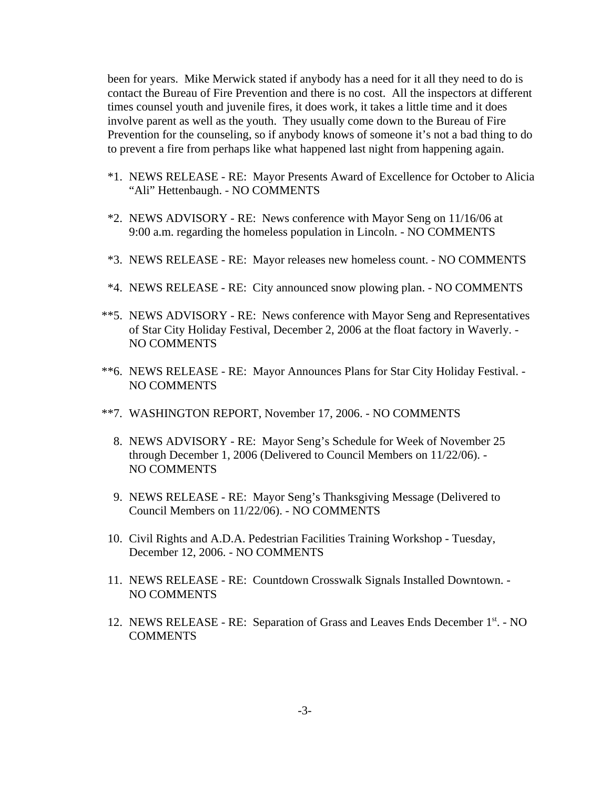been for years. Mike Merwick stated if anybody has a need for it all they need to do is contact the Bureau of Fire Prevention and there is no cost. All the inspectors at different times counsel youth and juvenile fires, it does work, it takes a little time and it does involve parent as well as the youth. They usually come down to the Bureau of Fire Prevention for the counseling, so if anybody knows of someone it's not a bad thing to do to prevent a fire from perhaps like what happened last night from happening again.

- \*1. NEWS RELEASE RE: Mayor Presents Award of Excellence for October to Alicia "Ali" Hettenbaugh. - NO COMMENTS
- \*2. NEWS ADVISORY RE: News conference with Mayor Seng on 11/16/06 at 9:00 a.m. regarding the homeless population in Lincoln. - NO COMMENTS
- \*3. NEWS RELEASE RE: Mayor releases new homeless count. NO COMMENTS
- \*4. NEWS RELEASE RE: City announced snow plowing plan. NO COMMENTS
- \*\*5. NEWS ADVISORY RE: News conference with Mayor Seng and Representatives of Star City Holiday Festival, December 2, 2006 at the float factory in Waverly. - NO COMMENTS
- \*\*6. NEWS RELEASE RE: Mayor Announces Plans for Star City Holiday Festival. NO COMMENTS
- \*\*7. WASHINGTON REPORT, November 17, 2006. NO COMMENTS
	- 8. NEWS ADVISORY RE: Mayor Seng's Schedule for Week of November 25 through December 1, 2006 (Delivered to Council Members on 11/22/06). - NO COMMENTS
	- 9. NEWS RELEASE RE: Mayor Seng's Thanksgiving Message (Delivered to Council Members on 11/22/06). - NO COMMENTS
- 10. Civil Rights and A.D.A. Pedestrian Facilities Training Workshop Tuesday, December 12, 2006. - NO COMMENTS
- 11. NEWS RELEASE RE: Countdown Crosswalk Signals Installed Downtown. NO COMMENTS
- 12. NEWS RELEASE RE: Separation of Grass and Leaves Ends December 1<sup>st</sup>. NO **COMMENTS**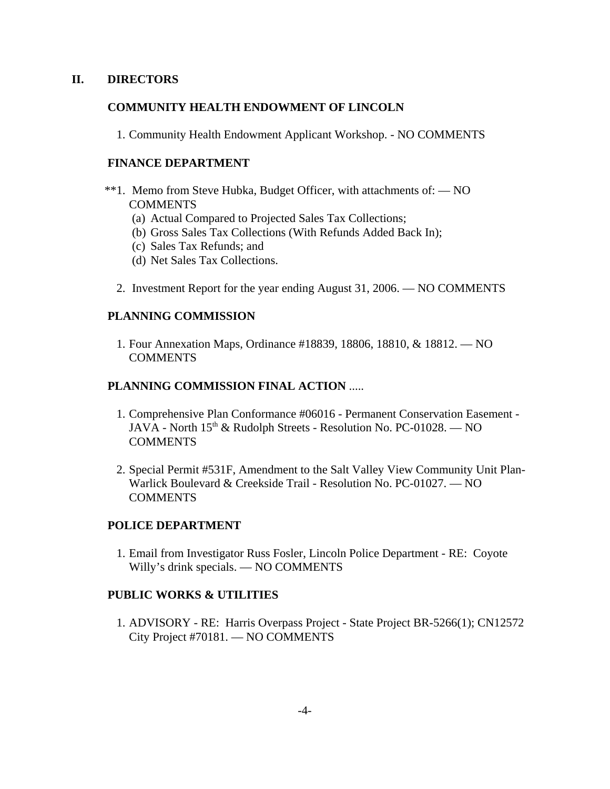### **II. DIRECTORS**

### **COMMUNITY HEALTH ENDOWMENT OF LINCOLN**

1. Community Health Endowment Applicant Workshop. - NO COMMENTS

### **FINANCE DEPARTMENT**

- \*\*1. Memo from Steve Hubka, Budget Officer, with attachments of: NO **COMMENTS** 
	- (a) Actual Compared to Projected Sales Tax Collections;
	- (b) Gross Sales Tax Collections (With Refunds Added Back In);
	- (c) Sales Tax Refunds; and
	- (d) Net Sales Tax Collections.
	- 2. Investment Report for the year ending August 31, 2006. NO COMMENTS

### **PLANNING COMMISSION**

 1. Four Annexation Maps, Ordinance #18839, 18806, 18810, & 18812. — NO **COMMENTS** 

#### **PLANNING COMMISSION FINAL ACTION** .....

- 1. Comprehensive Plan Conformance #06016 Permanent Conservation Easement JAVA - North 15<sup>th</sup> & Rudolph Streets - Resolution No. PC-01028. — NO **COMMENTS**
- 2. Special Permit #531F, Amendment to the Salt Valley View Community Unit Plan-Warlick Boulevard & Creekside Trail - Resolution No. PC-01027. — NO **COMMENTS**

#### **POLICE DEPARTMENT**

 1. Email from Investigator Russ Fosler, Lincoln Police Department - RE: Coyote Willy's drink specials. — NO COMMENTS

### **PUBLIC WORKS & UTILITIES**

 1. ADVISORY - RE: Harris Overpass Project - State Project BR-5266(1); CN12572 City Project #70181. — NO COMMENTS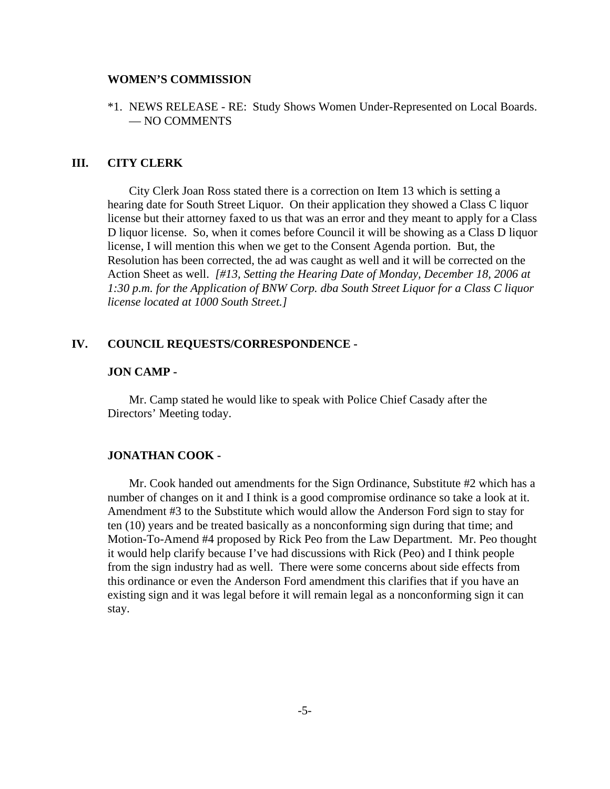#### **WOMEN'S COMMISSION**

\*1. NEWS RELEASE - RE: Study Shows Women Under-Represented on Local Boards. — NO COMMENTS

#### **III. CITY CLERK**

City Clerk Joan Ross stated there is a correction on Item 13 which is setting a hearing date for South Street Liquor. On their application they showed a Class C liquor license but their attorney faxed to us that was an error and they meant to apply for a Class D liquor license. So, when it comes before Council it will be showing as a Class D liquor license, I will mention this when we get to the Consent Agenda portion. But, the Resolution has been corrected, the ad was caught as well and it will be corrected on the Action Sheet as well. *[#13, Setting the Hearing Date of Monday, December 18, 2006 at 1:30 p.m. for the Application of BNW Corp. dba South Street Liquor for a Class C liquor license located at 1000 South Street.]* 

#### **IV. COUNCIL REQUESTS/CORRESPONDENCE -**

#### **JON CAMP -**

Mr. Camp stated he would like to speak with Police Chief Casady after the Directors' Meeting today.

#### **JONATHAN COOK -**

Mr. Cook handed out amendments for the Sign Ordinance, Substitute #2 which has a number of changes on it and I think is a good compromise ordinance so take a look at it. Amendment #3 to the Substitute which would allow the Anderson Ford sign to stay for ten (10) years and be treated basically as a nonconforming sign during that time; and Motion-To-Amend #4 proposed by Rick Peo from the Law Department. Mr. Peo thought it would help clarify because I've had discussions with Rick (Peo) and I think people from the sign industry had as well. There were some concerns about side effects from this ordinance or even the Anderson Ford amendment this clarifies that if you have an existing sign and it was legal before it will remain legal as a nonconforming sign it can stay.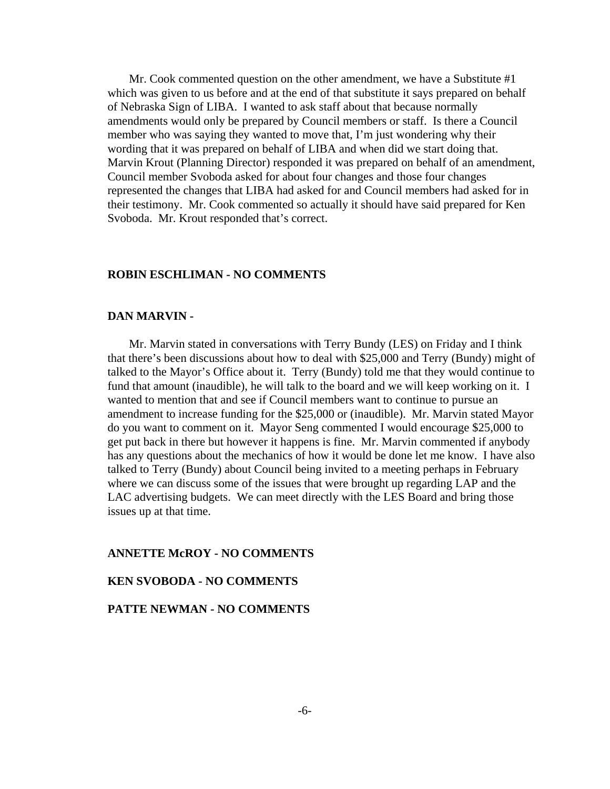Mr. Cook commented question on the other amendment, we have a Substitute #1 which was given to us before and at the end of that substitute it says prepared on behalf of Nebraska Sign of LIBA. I wanted to ask staff about that because normally amendments would only be prepared by Council members or staff. Is there a Council member who was saying they wanted to move that, I'm just wondering why their wording that it was prepared on behalf of LIBA and when did we start doing that. Marvin Krout (Planning Director) responded it was prepared on behalf of an amendment, Council member Svoboda asked for about four changes and those four changes represented the changes that LIBA had asked for and Council members had asked for in their testimony. Mr. Cook commented so actually it should have said prepared for Ken Svoboda. Mr. Krout responded that's correct.

#### **ROBIN ESCHLIMAN - NO COMMENTS**

#### **DAN MARVIN -**

Mr. Marvin stated in conversations with Terry Bundy (LES) on Friday and I think that there's been discussions about how to deal with \$25,000 and Terry (Bundy) might of talked to the Mayor's Office about it. Terry (Bundy) told me that they would continue to fund that amount (inaudible), he will talk to the board and we will keep working on it. I wanted to mention that and see if Council members want to continue to pursue an amendment to increase funding for the \$25,000 or (inaudible). Mr. Marvin stated Mayor do you want to comment on it. Mayor Seng commented I would encourage \$25,000 to get put back in there but however it happens is fine. Mr. Marvin commented if anybody has any questions about the mechanics of how it would be done let me know. I have also talked to Terry (Bundy) about Council being invited to a meeting perhaps in February where we can discuss some of the issues that were brought up regarding LAP and the LAC advertising budgets. We can meet directly with the LES Board and bring those issues up at that time.

#### **ANNETTE McROY - NO COMMENTS**

#### **KEN SVOBODA - NO COMMENTS**

#### **PATTE NEWMAN - NO COMMENTS**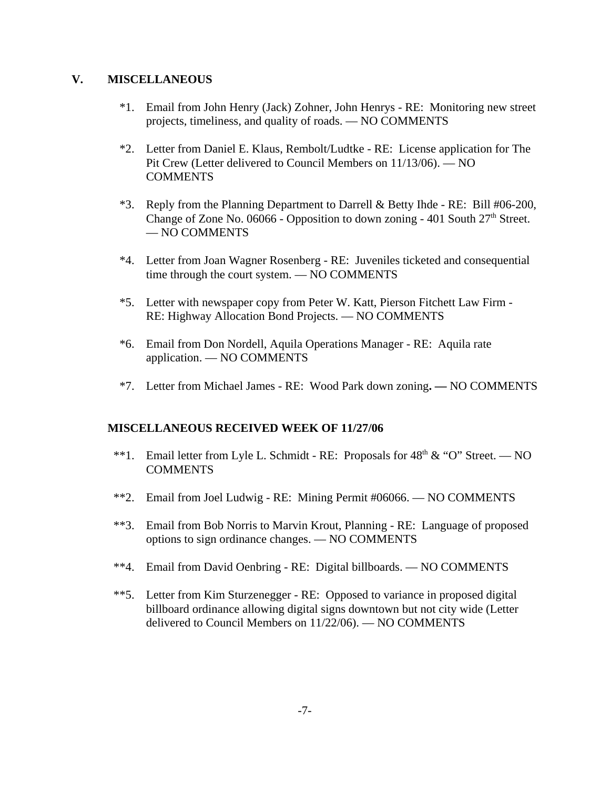### **V. MISCELLANEOUS**

- \*1. Email from John Henry (Jack) Zohner, John Henrys RE: Monitoring new street projects, timeliness, and quality of roads. — NO COMMENTS
- \*2. Letter from Daniel E. Klaus, Rembolt/Ludtke RE: License application for The Pit Crew (Letter delivered to Council Members on 11/13/06). — NO COMMENTS
- \*3. Reply from the Planning Department to Darrell & Betty Ihde RE: Bill #06-200, Change of Zone No. 06066 - Opposition to down zoning - 401 South  $27<sup>th</sup>$  Street. — NO COMMENTS
- \*4. Letter from Joan Wagner Rosenberg RE: Juveniles ticketed and consequential time through the court system. — NO COMMENTS
- \*5. Letter with newspaper copy from Peter W. Katt, Pierson Fitchett Law Firm RE: Highway Allocation Bond Projects. — NO COMMENTS
- \*6. Email from Don Nordell, Aquila Operations Manager RE: Aquila rate application. — NO COMMENTS
- \*7. Letter from Michael James RE: Wood Park down zoning**.** NO COMMENTS

## **MISCELLANEOUS RECEIVED WEEK OF 11/27/06**

- \*\*1. Email letter from Lyle L. Schmidt RE: Proposals for  $48<sup>th</sup>$  & "O" Street. NO **COMMENTS**
- \*\*2. Email from Joel Ludwig RE: Mining Permit #06066. NO COMMENTS
- \*\*3. Email from Bob Norris to Marvin Krout, Planning RE: Language of proposed options to sign ordinance changes. — NO COMMENTS
- \*\*4. Email from David Oenbring RE: Digital billboards. NO COMMENTS
- \*\*5. Letter from Kim Sturzenegger RE: Opposed to variance in proposed digital billboard ordinance allowing digital signs downtown but not city wide (Letter delivered to Council Members on 11/22/06). — NO COMMENTS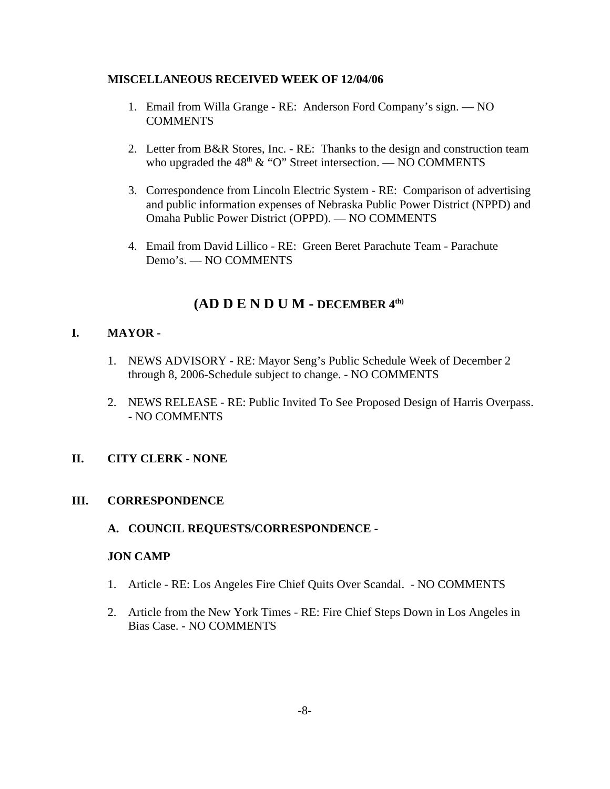### **MISCELLANEOUS RECEIVED WEEK OF 12/04/06**

- 1. Email from Willa Grange RE: Anderson Ford Company's sign. NO **COMMENTS**
- 2. Letter from B&R Stores, Inc. RE: Thanks to the design and construction team who upgraded the  $48<sup>th</sup>$  & "O" Street intersection. — NO COMMENTS
- 3. Correspondence from Lincoln Electric System RE: Comparison of advertising and public information expenses of Nebraska Public Power District (NPPD) and Omaha Public Power District (OPPD). — NO COMMENTS
- 4. Email from David Lillico RE: Green Beret Parachute Team Parachute Demo's. — NO COMMENTS

# **(AD D E N D U M - DECEMBER 4th)**

## **I. MAYOR -**

- 1. NEWS ADVISORY RE: Mayor Seng's Public Schedule Week of December 2 through 8, 2006-Schedule subject to change. - NO COMMENTS
- 2. NEWS RELEASE RE: Public Invited To See Proposed Design of Harris Overpass. **-** NO COMMENTS

### **II. CITY CLERK - NONE**

### **III. CORRESPONDENCE**

### **A. COUNCIL REQUESTS/CORRESPONDENCE -**

### **JON CAMP**

- 1. Article RE: Los Angeles Fire Chief Quits Over Scandal. NO COMMENTS
- 2. Article from the New York Times RE: Fire Chief Steps Down in Los Angeles in Bias Case. - NO COMMENTS